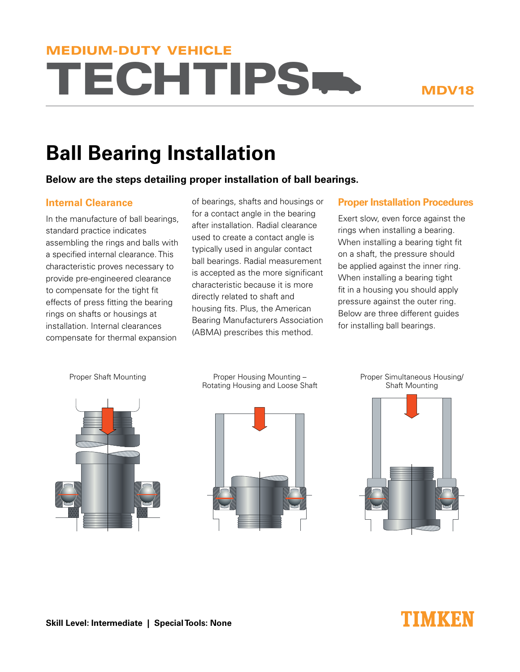# **TECHTIPS.** MEDIUM-DUTY VEHICLE

# **Ball Bearing Installation**

## **Below are the steps detailing proper installation of ball bearings.**

## **Internal Clearance**

In the manufacture of ball bearings, standard practice indicates assembling the rings and balls with a specified internal clearance. This characteristic proves necessary to provide pre-engineered clearance to compensate for the tight fit effects of press fitting the bearing rings on shafts or housings at installation. Internal clearances compensate for thermal expansion

of bearings, shafts and housings or for a contact angle in the bearing after installation. Radial clearance used to create a contact angle is typically used in angular contact ball bearings. Radial measurement is accepted as the more significant characteristic because it is more directly related to shaft and housing fits. Plus, the American Bearing Manufacturers Association (ABMA) prescribes this method.

#### **Proper Installation Procedures**

Exert slow, even force against the rings when installing a bearing. When installing a bearing tight fit on a shaft, the pressure should be applied against the inner ring. When installing a bearing tight fit in a housing you should apply pressure against the outer ring. Below are three different guides for installing ball bearings.



Proper Shaft Mounting **Proper Housing Mounting -**Rotating Housing and Loose Shaft